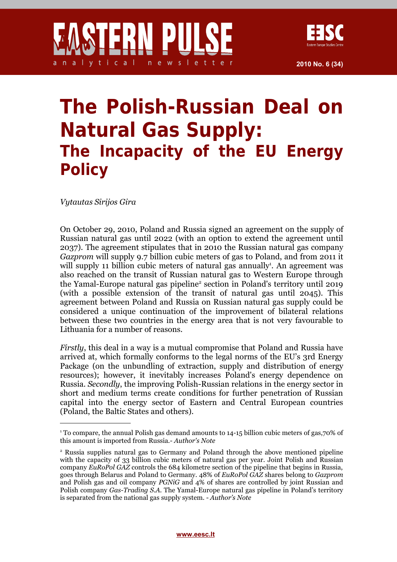## **The Polish-Russian Deal on Natural Gas Supply: The Incapacity of the EU Energy Policy**

*Vytautas Sirijos Gira*

On October 29, 2010, Poland and Russia signed an agreement on the supply of Russian natural gas until 2022 (with an option to extend the agreement until 2037). The agreement stipulates that in 2010 the Russian natural gas company *Gazprom* will supply 9.7 billion cubic meters of gas to Poland, and from 2011 it will supply [1](#page-0-0)1 billion cubic meters of natural gas annually<sup>1</sup>. An agreement was also reached on the transit of Russian natural gas to Western Europe through the Yamal-Europe natural gas pipeline<sup>[2](#page-0-1)</sup> section in Poland's territory until 2019 (with a possible extension of the transit of natural gas until 2045). This agreement between Poland and Russia on Russian natural gas supply could be considered a unique continuation of the improvement of bilateral relations between these two countries in the energy area that is not very favourable to Lithuania for a number of reasons.

*Firstly*, this deal in a way is a mutual compromise that Poland and Russia have arrived at, which formally conforms to the legal norms of the EU's 3rd Energy Package (on the unbundling of extraction, supply and distribution of energy resources); however, it inevitably increases Poland's energy dependence on Russia. *Secondly*, the improving Polish-Russian relations in the energy sector in short and medium terms create conditions for further penetration of Russian capital into the energy sector of Eastern and Central European countries (Poland, the Baltic States and others).

<span id="page-0-0"></span><sup>1</sup> To compare, the annual Polish gas demand amounts to 14-15 billion cubic meters of gas,70% of this amount is imported from Russia.- *Author's Note*

<span id="page-0-1"></span><sup>2</sup> Russia supplies natural gas to Germany and Poland through the above mentioned pipeline with the capacity of 33 billion cubic meters of natural gas per year. Joint Polish and Russian company *EuRoPol GAZ* controls the 684 kilometre section of the pipeline that begins in Russia, goes through Belarus and Poland to Germany. 48% of *EuRoPol GAZ* shares belong to *Gazprom* and Polish gas and oil company *PGNiG* and 4% of shares are controlled by joint Russian and Polish company *Gas-Trading S.A.* The Yamal-Europe natural gas pipeline in Poland's territory is separated from the national gas supply system. - *Author's Note*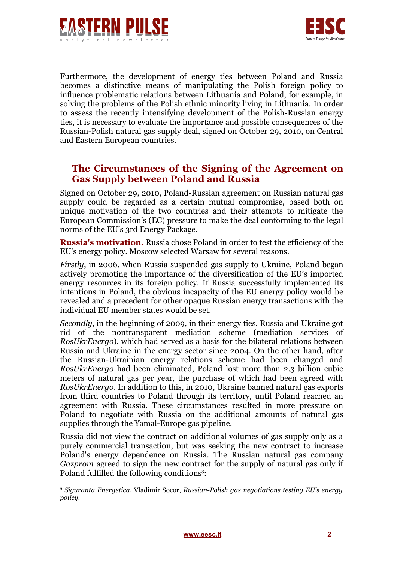



Furthermore, the development of energy ties between Poland and Russia becomes a distinctive means of manipulating the Polish foreign policy to influence problematic relations between Lithuania and Poland, for example, in solving the problems of the Polish ethnic minority living in Lithuania. In order to assess the recently intensifying development of the Polish-Russian energy ties, it is necessary to evaluate the importance and possible consequences of the Russian-Polish natural gas supply deal, signed on October 29, 2010, on Central and Eastern European countries.

## **The Circumstances of the Signing of the Agreement on Gas Supply between Poland and Russia**

Signed on October 29, 2010, Poland-Russian agreement on Russian natural gas supply could be regarded as a certain mutual compromise, based both on unique motivation of the two countries and their attempts to mitigate the European Commission's (EC) pressure to make the deal conforming to the legal norms of the EU's 3rd Energy Package.

**Russia's motivation.** Russia chose Poland in order to test the efficiency of the EU's energy policy. Moscow selected Warsaw for several reasons.

*Firstly*, in 2006, when Russia suspended gas supply to Ukraine, Poland began actively promoting the importance of the diversification of the EU's imported energy resources in its foreign policy. If Russia successfully implemented its intentions in Poland, the obvious incapacity of the EU energy policy would be revealed and a precedent for other opaque Russian energy transactions with the individual EU member states would be set.

*Secondly*, in the beginning of 2009, in their energy ties, Russia and Ukraine got rid of the nontransparent mediation scheme (mediation services of *RosUkrEnergo*), which had served as a basis for the bilateral relations between Russia and Ukraine in the energy sector since 2004. On the other hand, after the Russian-Ukrainian energy relations scheme had been changed and *RosUkrEnergo* had been eliminated, Poland lost more than 2.3 billion cubic meters of natural gas per year, the purchase of which had been agreed with *RosUkrEnergo*. In addition to this, in 2010, Ukraine banned natural gas exports from third countries to Poland through its territory, until Poland reached an agreement with Russia. These circumstances resulted in more pressure on Poland to negotiate with Russia on the additional amounts of natural gas supplies through the Yamal-Europe gas pipeline.

Russia did not view the contract on additional volumes of gas supply only as a purely commercial transaction, but was seeking the new contract to increase Poland's energy dependence on Russia. The Russian natural gas company *Gazprom* agreed to sign the new contract for the supply of natural gas only if Poland fulfilled the following conditions<sup>[3](#page-1-0)</sup>:

<span id="page-1-0"></span><sup>3</sup> *Siguranta Energetica*, Vladimir Socor, *Russian-Polish gas negotiations testing EU's energy policy*.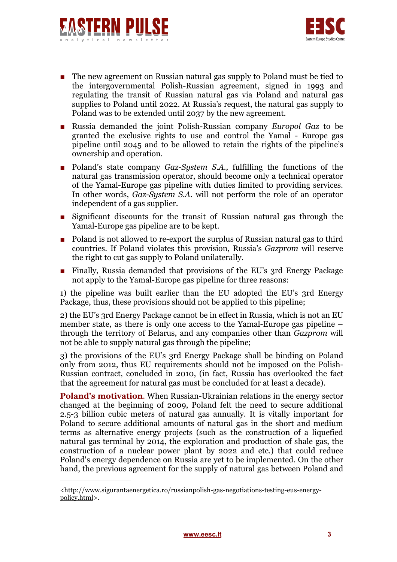



- The new agreement on Russian natural gas supply to Poland must be tied to the intergovernmental Polish-Russian agreement, signed in 1993 and regulating the transit of Russian natural gas via Poland and natural gas supplies to Poland until 2022. At Russia's request, the natural gas supply to Poland was to be extended until 2037 by the new agreement.
- Russia demanded the joint Polish-Russian company *Europol Gaz* to be granted the exclusive rights to use and control the Yamal - Europe gas pipeline until 2045 and to be allowed to retain the rights of the pipeline's ownership and operation.
- Poland's state company *Gaz-System S.A.*, fulfilling the functions of the natural gas transmission operator, should become only a technical operator of the Yamal-Europe gas pipeline with duties limited to providing services. In other words, *Gaz-System S.A.* will not perform the role of an operator independent of a gas supplier.
- Significant discounts for the transit of Russian natural gas through the Yamal-Europe gas pipeline are to be kept.
- Poland is not allowed to re-export the surplus of Russian natural gas to third countries. If Poland violates this provision, Russia's *Gazprom* will reserve the right to cut gas supply to Poland unilaterally.
- Finally, Russia demanded that provisions of the EU's 3rd Energy Package not apply to the Yamal-Europe gas pipeline for three reasons:

1) the pipeline was built earlier than the EU adopted the EU's 3rd Energy Package, thus, these provisions should not be applied to this pipeline;

2) the EU's 3rd Energy Package cannot be in effect in Russia, which is not an EU member state, as there is only one access to the Yamal-Europe gas pipeline – through the territory of Belarus, and any companies other than *Gazprom* will not be able to supply natural gas through the pipeline;

3) the provisions of the EU's 3rd Energy Package shall be binding on Poland only from 2012, thus EU requirements should not be imposed on the Polish-Russian contract, concluded in 2010, (in fact, Russia has overlooked the fact that the agreement for natural gas must be concluded for at least a decade).

**Poland's motivation**. When Russian-Ukrainian relations in the energy sector changed at the beginning of 2009, Poland felt the need to secure additional 2.5-3 billion cubic meters of natural gas annually. It is vitally important for Poland to secure additional amounts of natural gas in the short and medium terms as alternative energy projects (such as the construction of a liquefied natural gas terminal by 2014, the exploration and production of shale gas, the construction of a nuclear power plant by 2022 and etc.) that could reduce Poland's energy dependence on Russia are yet to be implemented. On the other hand, the previous agreement for the supply of natural gas between Poland and

[<sup>&</sup>lt;http://www.sigurantaenergetica.ro/russianpolish-gas-negotiations-testing-eus-energy](http://www.sigurantaenergetica.ro/russianpolish-gas-negotiations-testing-eus-energy-policy.html)[policy.html>](http://www.sigurantaenergetica.ro/russianpolish-gas-negotiations-testing-eus-energy-policy.html).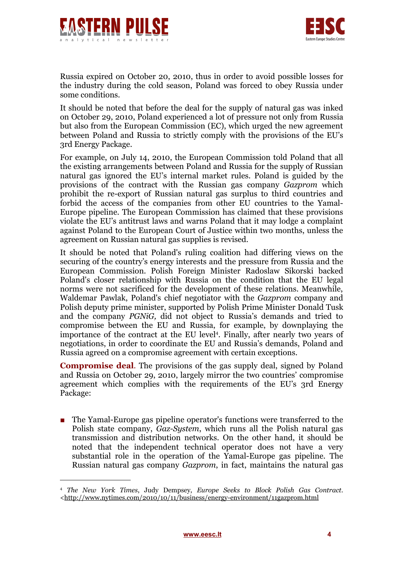



Russia expired on October 20, 2010, thus in order to avoid possible losses for the industry during the cold season, Poland was forced to obey Russia under some conditions.

It should be noted that before the deal for the supply of natural gas was inked on October 29, 2010, Poland experienced a lot of pressure not only from Russia but also from the European Commission (EC), which urged the new agreement between Poland and Russia to strictly comply with the provisions of the EU's 3rd Energy Package.

For example, on July 14, 2010, the European Commission told Poland that all the existing arrangements between Poland and Russia for the supply of Russian natural gas ignored the EU's internal market rules. Poland is guided by the provisions of the contract with the Russian gas company *Gazprom* which prohibit the re-export of Russian natural gas surplus to third countries and forbid the access of the companies from other EU countries to the Yamal-Europe pipeline. The European Commission has claimed that these provisions violate the EU's antitrust laws and warns Poland that it may lodge a complaint against Poland to the European Court of Justice within two months, unless the agreement on Russian natural gas supplies is revised.

It should be noted that Poland's ruling coalition had differing views on the securing of the country's energy interests and the pressure from Russia and the European Commission. Polish Foreign Minister Radoslaw Sikorski backed Poland's closer relationship with Russia on the condition that the EU legal norms were not sacrificed for the development of these relations. Meanwhile, Waldemar Pawlak, Poland's chief negotiator with the *Gazprom* company and Polish deputy prime minister, supported by Polish Prime Minister Donald Tusk and the company *PGNiG,* did not object to Russia's demands and tried to compromise between the EU and Russia, for example, by downplaying the importance of the contract at the EU level<sup>[4](#page-3-0)</sup>. Finally, after nearly two years of negotiations, in order to coordinate the EU and Russia's demands, Poland and Russia agreed on a compromise agreement with certain exceptions.

**Compromise deal**. The provisions of the gas supply deal, signed by Poland and Russia on October 29, 2010, largely mirror the two countries' compromise agreement which complies with the requirements of the EU's 3rd Energy Package:

■ The Yamal-Europe gas pipeline operator's functions were transferred to the Polish state company, *Gaz-System*, which runs all the Polish natural gas transmission and distribution networks. On the other hand, it should be noted that the independent technical operator does not have a very substantial role in the operation of the Yamal-Europe gas pipeline. The Russian natural gas company *Gazprom*, in fact, maintains the natural gas

<span id="page-3-0"></span><sup>4</sup> *The New York Times*, Judy Dempsey, *Europe Seeks to Block Polish Gas Contract*. [<http://www.nytimes.com/2010/10/11/business/energy-environment/11gazprom.html](http://www.nytimes.com/2010/10/11/business/energy-environment/11gazprom.html)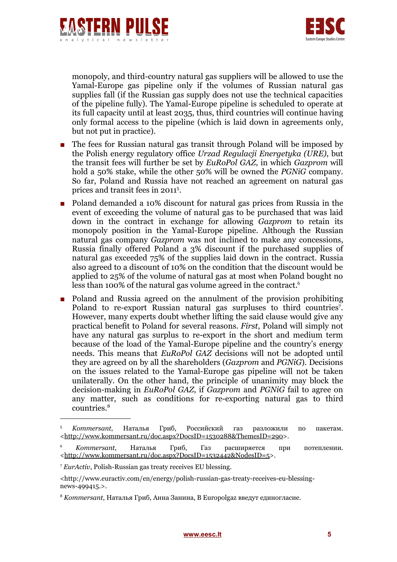



monopoly, and third-country natural gas suppliers will be allowed to use the Yamal-Europe gas pipeline only if the volumes of Russian natural gas supplies fall (if the Russian gas supply does not use the technical capacities of the pipeline fully). The Yamal-Europe pipeline is scheduled to operate at its full capacity until at least 2035, thus, third countries will continue having only formal access to the pipeline (which is laid down in agreements only, but not put in practice).

- The fees for Russian natural gas transit through Poland will be imposed by the Polish energy regulatory office *Urzad Regulacji Energetyka (URE)*, but the transit fees will further be set by *EuRoPol GAZ*, in which *Gazprom* will hold a 50% stake, while the other 50% will be owned the *PGNiG* company. So far, Poland and Russia have not reached an agreement on natural gas prices and transit fees in 2011<sup>[5](#page-4-0)</sup>.
- Poland demanded a 10% discount for natural gas prices from Russia in the event of exceeding the volume of natural gas to be purchased that was laid down in the contract in exchange for allowing *Gazprom* to retain its monopoly position in the Yamal-Europe pipeline. Although the Russian natural gas company *Gazprom* was not inclined to make any concessions, Russia finally offered Poland a 3% discount if the purchased supplies of natural gas exceeded 75% of the supplies laid down in the contract. Russia also agreed to a discount of 10% on the condition that the discount would be applied to 25% of the volume of natural gas at most when Poland bought no less than 100% of the natural gas volume agreed in the contract.<sup>[6](#page-4-1)</sup>
- Poland and Russia agreed on the annulment of the provision prohibiting Poland to re-export Russian natural gas surpluses to third countries<sup>[7](#page-4-2)</sup>. However, many experts doubt whether lifting the said clause would give any practical benefit to Poland for several reasons. *First*, Poland will simply not have any natural gas surplus to re-export in the short and medium term because of the load of the Yamal-Europe pipeline and the country's energy needs. This means that *EuRoPol GAZ* decisions will not be adopted until they are agreed on by all the shareholders (*Gazprom* and *PGNiG*). Decisions on the issues related to the Yamal-Europe gas pipeline will not be taken unilaterally. On the other hand, the principle of unanimity may block the decision-making in *EuRoPol GAZ*, if *Gazprom* and *PGNiG* fail to agree on any matter, such as conditions for re-exporting natural gas to third countries.[8](#page-4-3)

<span id="page-4-0"></span><sup>5</sup>  *Kommersant*, Наталья Гриб, Российский газ разложили по пакетам. [<http://www.kommersant.ru/doc.aspx?DocsID=1530288&ThemesID=290>](http://www.kommersant.ru/doc.aspx?DocsID=1530288&ThemesID=290).

<span id="page-4-1"></span><sup>6</sup> *Kommersant,* Наталья Гриб, Газ расширяется при потеплении. [<http://www.kommersant.ru/doc.aspx?DocsID=1532442&NodesID=5>](http://www.kommersant.ru/doc.aspx?DocsID=1532442&NodesID=5).

<span id="page-4-2"></span><sup>7</sup> *EurActiv*, Polish-Russian gas treaty receives EU blessing.

<sup>&</sup>lt;http://www.euractiv.com/en/energy/polish-russian-gas-treaty-receives-eu-blessingnews-499415.>.

<span id="page-4-3"></span><sup>8</sup> *Kommersant,* Наталья Гриб, Анна Занина, В Europolgaz введут единогласие.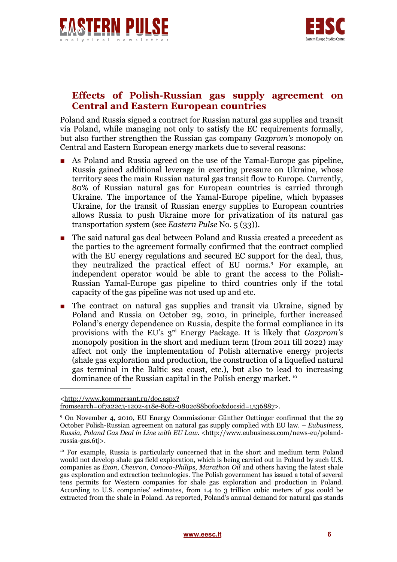



## **Effects of Polish-Russian gas supply agreement on Central and Eastern European countries**

Poland and Russia signed a contract for Russian natural gas supplies and transit via Poland, while managing not only to satisfy the EC requirements formally, but also further strengthen the Russian gas company *Gazprom's* monopoly on Central and Eastern European energy markets due to several reasons:

- As Poland and Russia agreed on the use of the Yamal-Europe gas pipeline, Russia gained additional leverage in exerting pressure on Ukraine, whose territory sees the main Russian natural gas transit flow to Europe. Currently, 80% of Russian natural gas for European countries is carried through Ukraine. The importance of the Yamal-Europe pipeline, which bypasses Ukraine, for the transit of Russian energy supplies to European countries allows Russia to push Ukraine more for privatization of its natural gas transportation system (see *[Eastern Pulse](http://www.eesc.lt/public_files/file_1285676230.pdf)* No. 5 (33)).
- The said natural gas deal between Poland and Russia created a precedent as the parties to the agreement formally confirmed that the contract complied with the EU energy regulations and secured EC support for the deal, thus, they neutralized the practical effect of EU norms.[9](#page-5-0) For example, an independent operator would be able to grant the access to the Polish-Russian Yamal-Europe gas pipeline to third countries only if the total capacity of the gas pipeline was not used up and etc.
- The contract on natural gas supplies and transit via Ukraine, signed by Poland and Russia on October 29, 2010, in principle, further increased Poland's energy dependence on Russia, despite the formal compliance in its provisions with the EU's 3rd Energy Package. It is likely that *Gazprom's* monopoly position in the short and medium term (from 2011 till 2022) may affect not only the implementation of Polish alternative energy projects (shale gas exploration and production, the construction of a liquefied natural gas terminal in the Baltic sea coast, etc.), but also to lead to increasing dominance of the Russian capital in the Polish energy market. [10](#page-5-1)

[<sup>&</sup>lt;http://www.kommersant.ru/doc.aspx?](http://www.kommersant.ru/doc.aspx?fromsearch=0f7a22c3-1202-418e-80f2-0802c88b0f0c&docsid=1536887) [fromsearch=0f7a22c3-1202-418e-80f2-0802c88b0f0c&docsid=1536887>](http://www.kommersant.ru/doc.aspx?fromsearch=0f7a22c3-1202-418e-80f2-0802c88b0f0c&docsid=1536887).

<span id="page-5-0"></span><sup>9</sup> On November 4, 2010, EU Energy Commissioner Günther Oettinger confirmed that the 29 October Polish-Russian agreement on natural gas supply complied with EU law. – *Eubusiness*, *Russia, Poland Gas Deal in Line with EU Law*. <http://www.eubusiness.com/news-eu/polandrussia-gas.6tj>.

<span id="page-5-1"></span><sup>&</sup>lt;sup>10</sup> For example, Russia is particularly concerned that in the short and medium term Poland would not develop shale gas field exploration, which is being carried out in Poland by such U.S. companies as *Exon*, *Chevron*, *Conoco-Philips*, *Marathon Oil* and others having the latest shale gas exploration and extraction technologies. The Polish government has issued a total of several tens permits for Western companies for shale gas exploration and production in Poland. According to U.S. companies' estimates, from 1.4 to 3 trillion cubic meters of gas could be extracted from the shale in Poland. As reported, Poland's annual demand for natural gas stands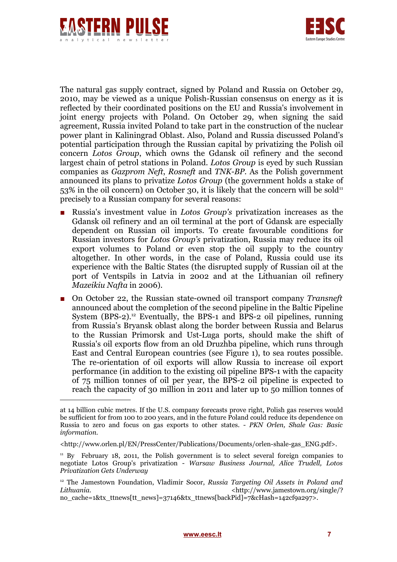



The natural gas supply contract, signed by Poland and Russia on October 29, 2010, may be viewed as a unique Polish-Russian consensus on energy as it is reflected by their coordinated positions on the EU and Russia's involvement in joint energy projects with Poland. On October 29, when signing the said agreement, Russia invited Poland to take part in the construction of the nuclear power plant in Kaliningrad Oblast. Also, Poland and Russia discussed Poland's potential participation through the Russian capital by privatizing the Polish oil concern *Lotos Group*, which owns the Gdansk oil refinery and the second largest chain of petrol stations in Poland. *Lotos Group* is eyed by such Russian companies as *Gazprom Neft*, *Rosneft* and *TNK-BP*. As the Polish government announced its plans to privatize *Lotos Group* (the government holds a stake of  $53\%$  in the oil concern) on October 30, it is likely that the concern will be sold<sup>[11](#page-6-0)</sup> precisely to a Russian company for several reasons:

- Russia's investment value in *Lotos Group's* privatization increases as the Gdansk oil refinery and an oil terminal at the port of Gdansk are especially dependent on Russian oil imports. To create favourable conditions for Russian investors for *Lotos Group's* privatization, Russia may reduce its oil export volumes to Poland or even stop the oil supply to the country altogether. In other words, in the case of Poland, Russia could use its experience with the Baltic States (the disrupted supply of Russian oil at the port of Ventspils in Latvia in 2002 and at the Lithuanian oil refinery *Mazeikiu Nafta* in 2006).
- On October 22, the Russian state-owned oil transport company *Transneft* announced about the completion of the second pipeline in the Baltic Pipeline System (BPS-2).<sup>[12](#page-6-1)</sup> Eventually, the BPS-1 and BPS-2 oil pipelines, running from Russia's Bryansk oblast along the border between Russia and Belarus to the Russian Primorsk and Ust-Luga ports, should make the shift of Russia's oil exports flow from an old Druzhba pipeline, which runs through East and Central European countries (see Figure 1), to sea routes possible. The re-orientation of oil exports will allow Russia to increase oil export performance (in addition to the existing oil pipeline BPS-1 with the capacity of 75 million tonnes of oil per year, the BPS-2 oil pipeline is expected to reach the capacity of 30 million in 2011 and later up to 50 million tonnes of

at 14 billion cubic metres. If the U.S. company forecasts prove right, Polish gas reserves would be sufficient for from 100 to 200 years, and in the future Poland could reduce its dependence on Russia to zero and focus on gas exports to other states. - *PKN Orlen, Shale Gas: Basic information*.

<sup>&</sup>lt;http://www.orlen.pl/EN/PressCenter/Publications/Documents/orlen-shale-gas\_ENG.pdf>.

<span id="page-6-0"></span> $11$  By February 18, 2011, the Polish government is to select several foreign companies to negotiate Lotos Group's privatization - *Warsaw Business Journal, Alice Trudell, Lotos Privatization Gets Underway*

<span id="page-6-1"></span><sup>&</sup>lt;sup>12</sup> The Jamestown Foundation, Vladimir Socor, *Russia Targeting Oil Assets in Poland and Lithuania.* **Lithuania Example 2 Example 2 Example 2 Example 2 Example 2 Example 2 Example 2 Example 2 Example 2 Example 2 Example 2 Example 2 Example 2 Example 2 Example 2 Example 2 Exam** no\_cache=1&tx\_ttnews[tt\_news]=37146&tx\_ttnews[backPid]=7&cHash=142cf9a297>.

**[www.eesc.lt](http://www.eesc.lt/) 7**